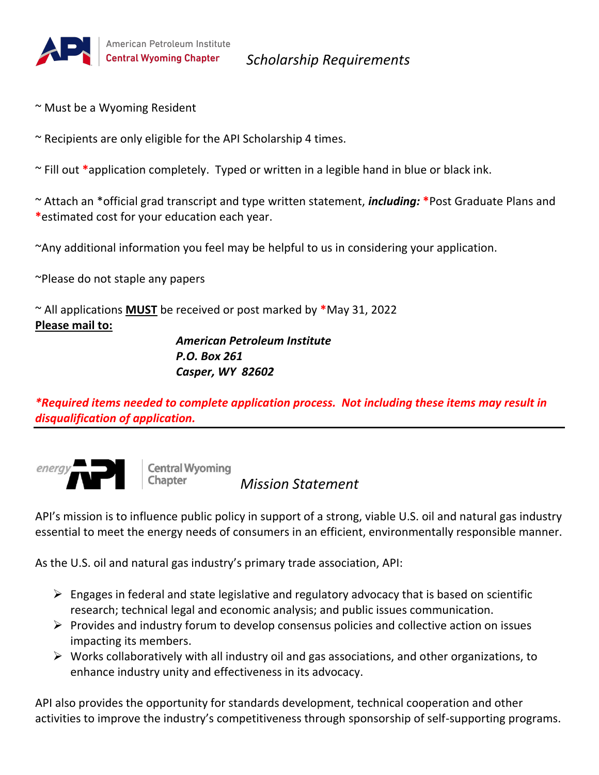

*Scholarship Requirements*

- ~ Must be a Wyoming Resident
- $\sim$  Recipients are only eligible for the API Scholarship 4 times.

~ Fill out **\***application completely. Typed or written in a legible hand in blue or black ink.

~ Attach an \*official grad transcript and type written statement, *including:* **\***Post Graduate Plans and **\***estimated cost for your education each year.

~Any additional information you feel may be helpful to us in considering your application.

~Please do not staple any papers

~ All applications **MUST** be received or post marked by **\***May 31, 2022 **Please mail to:**

> *American Petroleum Institute P.O. Box 261 Casper, WY 82602*

*\*Required items needed to complete application process. Not including these items may result in disqualification of application.*



**Central Wyoming** Chapter

 *Mission Statement*

API's mission is to influence public policy in support of a strong, viable U.S. oil and natural gas industry essential to meet the energy needs of consumers in an efficient, environmentally responsible manner.

As the U.S. oil and natural gas industry's primary trade association, API:

- $\triangleright$  Engages in federal and state legislative and regulatory advocacy that is based on scientific research; technical legal and economic analysis; and public issues communication.
- $\triangleright$  Provides and industry forum to develop consensus policies and collective action on issues impacting its members.
- $\triangleright$  Works collaboratively with all industry oil and gas associations, and other organizations, to enhance industry unity and effectiveness in its advocacy.

API also provides the opportunity for standards development, technical cooperation and other activities to improve the industry's competitiveness through sponsorship of self-supporting programs.